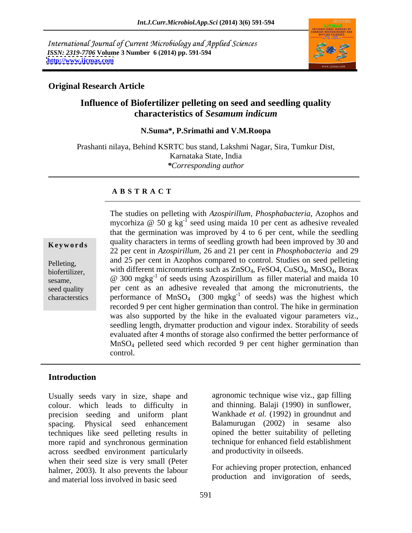International Journal of Current Microbiology and Applied Sciences *ISSN: 2319-7706* **Volume 3 Number 6 (2014) pp. 591-594 <http://www.ijcmas.com>**



### **Original Research Article**

# **Influence of Biofertilizer pelleting on seed and seedling quality characteristics of** *Sesamum indicum*

#### **N.Suma\*, P.Srimathi and V.M.Roopa**

Prashanti nilaya, Behind KSRTC bus stand, Lakshmi Nagar, Sira, Tumkur Dist, Karnataka State, India *\*Corresponding author*

#### **A B S T R A C T**

**Keywords** quality characters in terms of seedling growth had been improved by 30 and Pelleting, and 25 per cent in Azophos compared to control. Studies on seed pelleting biofertilizer, with different micronutrients such as  $ZnSO_4$ , FeSO4, CuSO<sub>4</sub>, MnSO<sub>4</sub>, Borax sesame,  $\qquad \qquad \textcircled{a} \quad 300 \text{ mgkg}^{-1}$  of seeds using Azospirillum as filler material and maida 10 seed quality per cent as an adhesive revealed that among the micronutrients, the characterstics performance of  $MnSO_4$  (300 mgkg<sup>-1</sup> of seeds) was the highest which The studies on pelleting with *Azospirillum, Phosphabacteria*, Azophos and mycorhiza @  $50$  g kg<sup>-1</sup> seed using maida 10 per cent as adhesive revealed that the germination was improved by 4 to 6 per cent, while the seedling 22 per cent in *Azospirillum,* 26 and 21 per cent in *Phosphobacteria* and 29 recorded 9 per cent higher germination than control. The hike in germination was also supported by the hike in the evaluated vigour parameters viz., seedling length, drymatter production and vigour index. Storability of seeds evaluated after 4 months of storage also confirmed the better performance of MnSO4 pelleted seed which recorded 9 per cent higher germination than control.

### **Introduction**

Usually seeds vary in size, shape and colour. which leads to difficulty in precision seeding and uniform plant spacing. Physical seed enhancement Balamurugan (2002) in sesame also techniques like seed pelleting results in more rapid and synchronous germination across seedbed environment particularly when their seed size is very small (Peter halmer, 2003). It also prevents the labour and material loss involved in basic seed

agronomic technique wise viz., gap filling and thinning. Balaji (1990) in sunflower, Wankhade *et al.* (1992) in groundnut and opined the better suitability of pelleting technique for enhanced field establishment and productivity in oilseeds.

For achieving proper protection, enhanced production and invigoration of seeds,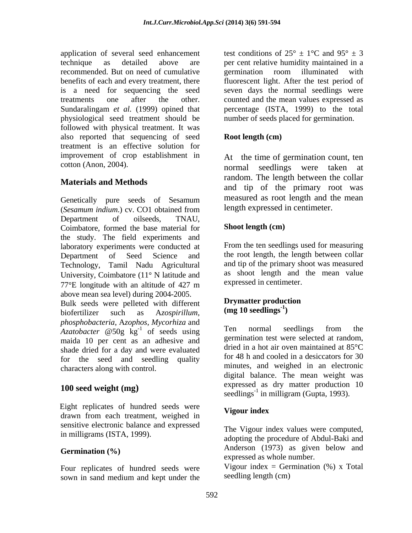application of several seed enhancement test conditions of  $25^{\circ} \pm 1^{\circ}$ C and  $95^{\circ} \pm 3$ technique as detailed above are per cent relative humidity maintained in a recommended. But on need of cumulative benefits of each and every treatment, there is a need for sequencing the seed treatments one after the other. counted and the mean values expressed as Sundaralingam *et al.* (1999) opined that percentage (ISTA, 1999) to the total physiological seed treatment should be followed with physical treatment. It was<br>also reported that sequencing of seed **Root length (cm)** treatment is an effective solution for improvement of crop establishment in

# **Materials and Methods**

Genetically pure seeds of Sesamum measured as root length and the mean (*Sesamum indium*.) cv. CO1 obtained from Department of oilseeds, TNAU, Coimbatore, formed the base material for the study. The field experiments and laboratory experiments were conducted at Department of Seed Science and the root length, the length between collar Technology, Tamil Nadu Agricultural University, Coimbatore  $(11^{\circ} N)$  latitude and  $77^{\circ}$ E longitude with an altitude of 427 m expressed in centimeter. above mean sea level) during 2004-2005.

Bulk seeds were pelleted with different **Drymatter product** biofertilizer such as  $\Delta z$  conigillum (mg 10 seedlings<sup>-1</sup>) biofertilizer such as A*zospirillum*, *phosphobacteria*, A*zophos*, *Mycorhiza* and<br>Azatobacter @50g, kg<sup>-1</sup> of seeds using Ten normal seedlings from the *Azatobacter* @50g kg<sup>-1</sup> of seeds using maida 10 per cent as an adhesive and shade dried for a day and were evaluated for the seed and seedling quality characters along with control.

# **100 seed weight (mg)**

**Eight replicates of hundred seeds were Vigour index** drawn from each treatment, weighed in sensitive electronic balance and expressed

Four replicates of hundred seeds were sown in sand medium and kept under the

germination room illuminated with fluorescent light. After the test period of seven days the normal seedlings were number of seeds placed for germination.

### **Root length (cm)**

cotton (Anon, 2004). normal seedlings were taken at At the time of germination count, ten random. The length between the collar and tip of the primary root was measured as root length and the mean length expressed in centimeter.

### **Shoot length (cm)**

From the ten seedlings used for measuring and tip of the primary shoot was measured as shoot length and the mean value expressed in centimeter.

#### **Drymatter production (mg 10 seedlings-1 )**

 $\frac{1}{1}$  of soods using Ten normal seedlings from the of seeds using the normal seedlings from the Ten normal seedlings from the germination test were selected at random, dried in a hot air oven maintained at 85°C for 48 h and cooled in a desiccators for 30 minutes, and weighed in an electronic digital balance. The mean weight was expressed as dry matter production 10 seedlings<sup>-1</sup> in milligram (Gupta, 1993).

# **Vigour index**

in milligrams (ISTA, 1999).<br>adopting the procedure of Abdul-Baki and Germination (%) **Anderson** (1973) as given below and The Vigour index values were computed, expressed as whole number.

> Vigour index = Germination  $(\%)$  x Total seedling length (cm)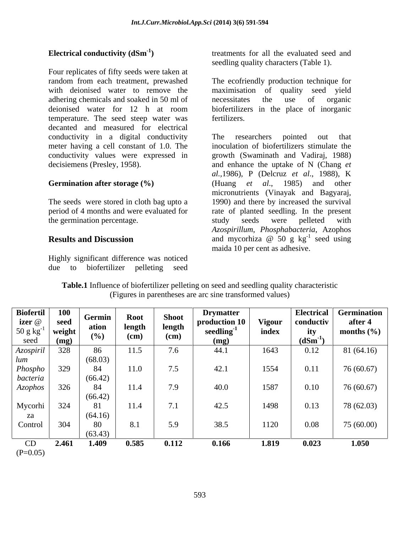Four replicates of fifty seeds were taken at random from each treatment, prewashed The ecofriendly production technique for with deionised water to remove the maximisation of quality seed yield adhering chemicals and soaked in 50 ml of necessitates the use of organic deionised water for 12 h at room biofertilizers in the place of inorganic temperature. The seed steep water was decanted and measured for electrical conductivity in a digital conductivity The researchers pointed out that meter having a cell constant of 1.0. The

Highly significant difference was noticed due to biofertilizer pelleting seed

Electrical conductivity (dSm<sup>-1</sup>) treatments for all the evaluated seed and seedling quality characters (Table 1).

> necessitates the use of organic biofertilizers in the place of inorganic fertilizers.

conductivity values were expressed in growth (Swaminath and Vadiraj, 1988) decisiemens (Presley, 1958). and enhance the uptake of N (Chang *et*  **Germination after storage (%)** (Huang *et al.*, 1985) and other The seeds were stored in cloth bag upto a 1990) and there by increased the survival period of 4 months and were evaluated for rate of planted seedling. In the present the germination percentage. The study seeds were pelleted with **Results and Discussion** and mycorhiza  $\omega$  50 g kg<sup>-1</sup> seed using The researchers pointed out that inoculation of biofertilizers stimulate the *al.,*1986), P (Delcruz *et al*., 1988), K (Huang *et al*., 1985) and other micronutrients (Vinayak and Bagyaraj, study seeds were pelleted with *Azospirillum*, *Phosphabacteria*, Azophos and mycorhiza  $\omega$  50 g kg<sup>-1</sup> seed using  $^{-1}$  good using seed using maida 10 per cent as adhesive.

| <b>Biofertil</b><br>izer @<br>50 g kg<br>seed | <b>100</b><br>seed<br>weight<br>(mg) | Germin<br>ation<br>(%)   | <b>Root</b><br>length<br>(cm) | <b>Shoot</b><br>length<br>(cm)            | <b>Drymatter</b><br>production 10<br>seedling <sup>-</sup><br>(mg) | <b>Vigour</b><br>index | <b>Electrical</b><br>conductiv<br>ity<br>$(dSm^{-1})$ | Germination<br>after 4<br>months $(\% )$ |
|-----------------------------------------------|--------------------------------------|--------------------------|-------------------------------|-------------------------------------------|--------------------------------------------------------------------|------------------------|-------------------------------------------------------|------------------------------------------|
| Azospiril                                     | 328                                  | 86                       | 11.5                          | 7.6                                       | 44.1                                                               | 1643                   | 0.12                                                  | 81 (64.16)                               |
| lum<br>Phospho<br>bacteria                    | 329                                  | (68.03)<br>84<br>(66.42) | 11.0                          | $\tau$ $\tau$<br>$\overline{\phantom{a}}$ | 42.1                                                               | 1554                   | 0.11                                                  | 76 (60.67)                               |
| Azophos                                       | 326                                  | 84<br>(66.42)            | 11.4                          | 7.9                                       | 40.0                                                               | 1587                   | 0.10                                                  | 76 (60.67)                               |
| Mycorhi<br>za                                 | 324                                  | 81<br>(64.16)            | 11.4                          | $\sqrt{ }$<br>$\cdots$                    | 42.5                                                               | 1498                   | 0.13                                                  | 78 (62.03)                               |
| Control                                       | 304                                  | 80<br>(63.43)            | 8.1                           | 5.9                                       | 38.5                                                               | 1120                   | 0.08                                                  | 75 (60.00)                               |
| CD<br>$(P=0.05)$                              | 2.461                                | 1.409                    | 0.585                         | 0.112                                     | 0.166                                                              | 1.819                  | 0.023                                                 | 1.050                                    |

**Table.1** Influence of biofertilizer pelleting on seed and seedling quality characteristic (Figures in parentheses are arc sine transformed values)